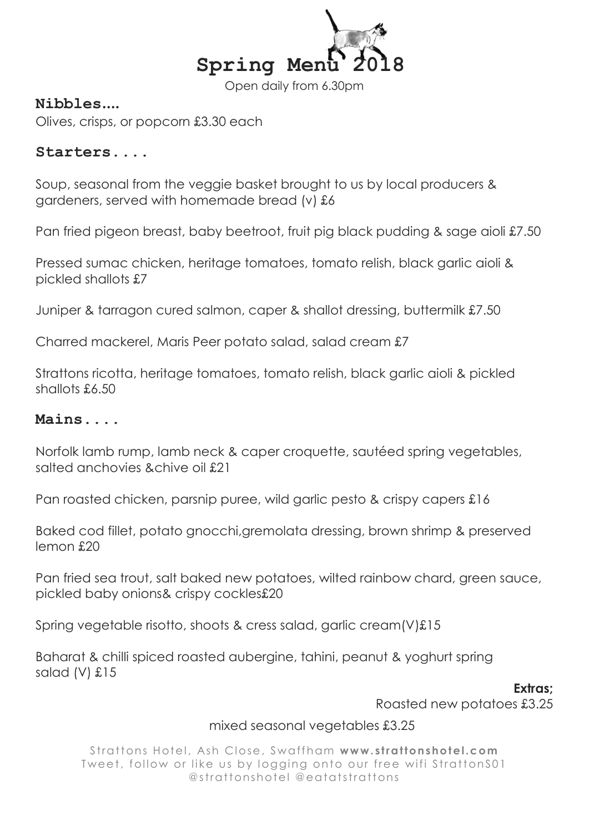

Open daily from 6.30pm

# Nibbles....

Olives, crisps, or popcorn £3.30 each

#### Starters....

Soup, seasonal from the veggie basket brought to us by local producers & gardeners, served with homemade bread (v) £6

Pan fried pigeon breast, baby beetroot, fruit pig black pudding & sage aioli £7.50

Pressed sumac chicken, heritage tomatoes, tomato relish, black garlic aioli & pickled shallots £7

Juniper & tarragon cured salmon, caper & shallot dressing, buttermilk £7.50

Charred mackerel, Maris Peer potato salad, salad cream £7

Strattons ricotta, heritage tomatoes, tomato relish, black garlic aioli & pickled shallots £6.50

# Mains....

Norfolk lamb rump, lamb neck & caper croquette, sautéed spring vegetables, salted anchovies &chive oil £21

Pan roasted chicken, parsnip puree, wild garlic pesto & crispy capers £16

Baked cod fillet, potato gnocchi,gremolata dressing, brown shrimp & preserved lemon £20

Pan fried sea trout, salt baked new potatoes, wilted rainbow chard, green sauce, pickled baby onions& crispy cockles£20

Spring vegetable risotto, shoots & cress salad, garlic cream(V)£15

Baharat & chilli spiced roasted aubergine, tahini, peanut & yoghurt spring salad (V) £15

Extras:

Roasted new potatoes £3.25

### mixed seasonal vegetables £3.25

Strattons Hotel, Ash Close, Swaffham www.strattonshotel.com Tweet, follow or like us by logging onto our free wifi StrattonS01 @strattonshotel @eatatstrattons